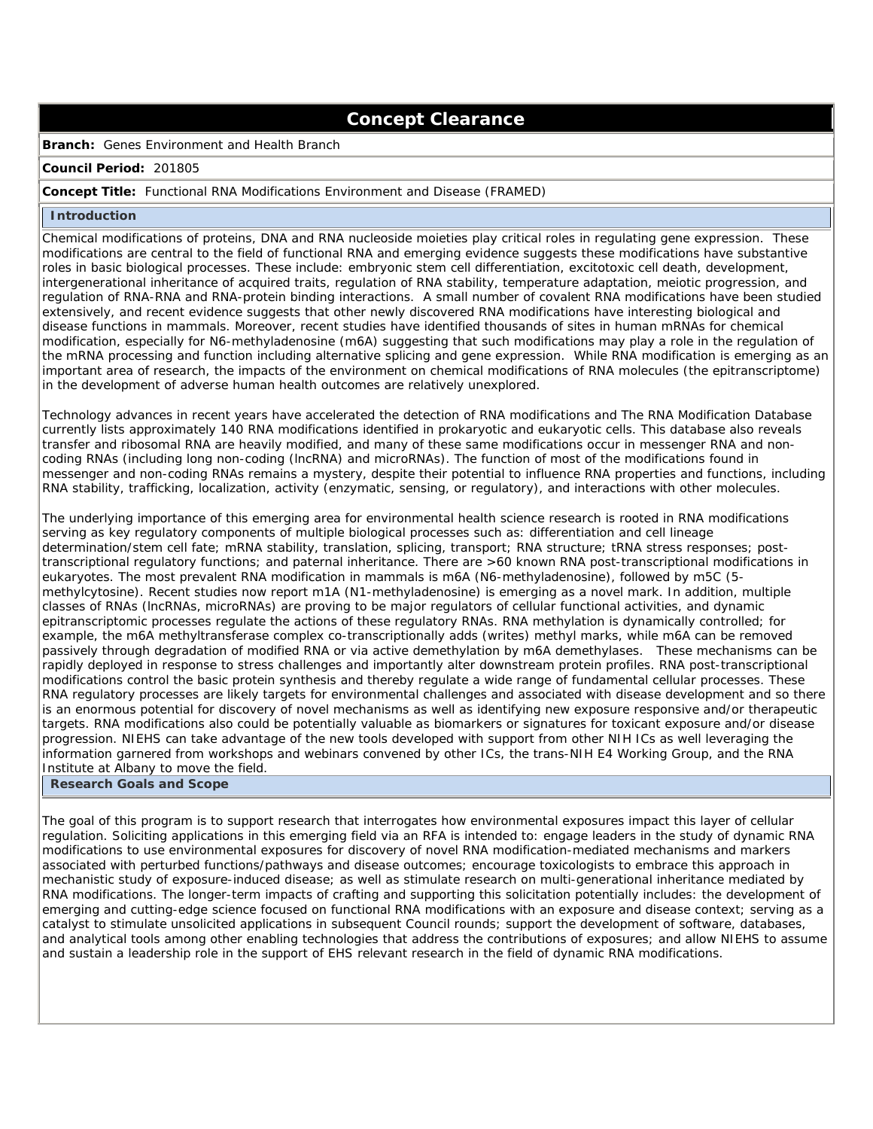# **Concept Clearance**

**Branch:** Genes Environment and Health Branch

#### **Council Period:** 201805

#### **Concept Title:** Functional RNA Modifications Environment and Disease (FRAMED)

#### **Introduction**

Chemical modifications of proteins, DNA and RNA nucleoside moieties play critical roles in regulating gene expression. These modifications are central to the field of functional RNA and emerging evidence suggests these modifications have substantive roles in basic biological processes. These include: embryonic stem cell differentiation, excitotoxic cell death, development, intergenerational inheritance of acquired traits, regulation of RNA stability, temperature adaptation, meiotic progression, and regulation of RNA-RNA and RNA-protein binding interactions. A small number of covalent RNA modifications have been studied extensively, and recent evidence suggests that other newly discovered RNA modifications have interesting biological and disease functions in mammals. Moreover, recent studies have identified thousands of sites in human mRNAs for chemical modification, especially for N6-methyladenosine (m6A) suggesting that such modifications may play a role in the regulation of the mRNA processing and function including alternative splicing and gene expression. While RNA modification is emerging as an important area of research, the impacts of the environment on chemical modifications of RNA molecules (the epitranscriptome) in the development of adverse human health outcomes are relatively unexplored.

Technology advances in recent years have accelerated the detection of RNA modifications and The RNA Modification Database currently lists approximately 140 RNA modifications identified in prokaryotic and eukaryotic cells. This database also reveals transfer and ribosomal RNA are heavily modified, and many of these same modifications occur in messenger RNA and noncoding RNAs (including long non-coding (lncRNA) and microRNAs). The function of most of the modifications found in messenger and non-coding RNAs remains a mystery, despite their potential to influence RNA properties and functions, including RNA stability, trafficking, localization, activity (enzymatic, sensing, or regulatory), and interactions with other molecules.

The underlying importance of this emerging area for environmental health science research is rooted in RNA modifications serving as key regulatory components of multiple biological processes such as: differentiation and cell lineage determination/stem cell fate; mRNA stability, translation, splicing, transport; RNA structure; tRNA stress responses; posttranscriptional regulatory functions; and paternal inheritance. There are >60 known RNA post-transcriptional modifications in eukaryotes. The most prevalent RNA modification in mammals is m6A (N6-methyladenosine), followed by m5C (5 methylcytosine). Recent studies now report m1A (N1-methyladenosine) is emerging as a novel mark. In addition, multiple classes of RNAs (lncRNAs, microRNAs) are proving to be major regulators of cellular functional activities, and dynamic epitranscriptomic processes regulate the actions of these regulatory RNAs. RNA methylation is dynamically controlled; for example, the m6A methyltransferase complex co-transcriptionally adds (writes) methyl marks, while m6A can be removed passively through degradation of modified RNA or via active demethylation by m6A demethylases. These mechanisms can be rapidly deployed in response to stress challenges and importantly alter downstream protein profiles. RNA post-transcriptional modifications control the basic protein synthesis and thereby regulate a wide range of fundamental cellular processes. These RNA regulatory processes are likely targets for environmental challenges and associated with disease development and so there is an enormous potential for discovery of novel mechanisms as well as identifying new exposure responsive and/or therapeutic targets. RNA modifications also could be potentially valuable as biomarkers or signatures for toxicant exposure and/or disease progression. NIEHS can take advantage of the new tools developed with support from other NIH ICs as well leveraging the information garnered from workshops and webinars convened by other ICs, the trans-NIH E4 Working Group, and the RNA Institute at Albany to move the field.

## **Research Goals and Scope**

The goal of this program is to support research that interrogates how environmental exposures impact this layer of cellular regulation. Soliciting applications in this emerging field via an RFA is intended to: engage leaders in the study of dynamic RNA modifications to use environmental exposures for discovery of novel RNA modification-mediated mechanisms and markers associated with perturbed functions/pathways and disease outcomes; encourage toxicologists to embrace this approach in mechanistic study of exposure-induced disease; as well as stimulate research on multi-generational inheritance mediated by RNA modifications. The longer-term impacts of crafting and supporting this solicitation potentially includes: the development of emerging and cutting-edge science focused on functional RNA modifications with an exposure and disease context; serving as a catalyst to stimulate unsolicited applications in subsequent Council rounds; support the development of software, databases, and analytical tools among other enabling technologies that address the contributions of exposures; and allow NIEHS to assume and sustain a leadership role in the support of EHS relevant research in the field of dynamic RNA modifications.